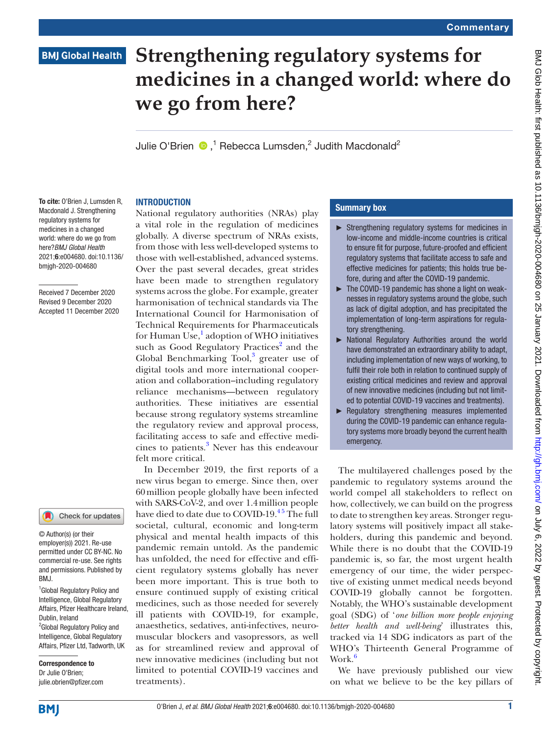## **BMJ Global Health**

# **Strengthening regulatory systems for medicines in a changed world: where do we go from here?**

JulieO'Brien  $\bigcirc$ ,<sup>1</sup> Rebecca Lumsden,<sup>2</sup> Judith Macdonald<sup>2</sup>

#### **INTRODUCTION**

To cite: O'Brien J, Lumsden R, Macdonald J. Strengthening regulatory systems for medicines in a changed world: where do we go from here?*BMJ Global Health* 2021;6:e004680. doi:10.1136/ bmjgh-2020-004680

Received 7 December 2020 Revised 9 December 2020 Accepted 11 December 2020

#### Check for updates

© Author(s) (or their employer(s)) 2021. Re-use permitted under CC BY-NC. No commercial re-use. See rights and permissions. Published by RM<sub>J</sub>

1 Global Regulatory Policy and Intelligence, Global Regulatory Affairs, Pfizer Healthcare Ireland, Dublin, Ireland <sup>2</sup> Global Regulatory Policy and

Intelligence, Global Regulatory Affairs, Pfizer Ltd, Tadworth, UK

Correspondence to Dr Julie O'Brien; julie.obrien@pfizer.com National regulatory authorities (NRAs) play a vital role in the regulation of medicines globally. A diverse spectrum of NRAs exists, from those with less well-developed systems to those with well-established, advanced systems. Over the past several decades, great strides have been made to strengthen regulatory systems across the globe. For example, greater harmonisation of technical standards via The International Council for Harmonisation of Technical Requirements for Pharmaceuticals for Human Use,<sup>1</sup> adoption of WHO initiatives such as Good Regulatory Practices<sup>2</sup> and the Global Benchmarking Tool,<sup>[3](#page-2-2)</sup> greater use of digital tools and more international cooperation and collaboration–including regulatory reliance mechanisms—between regulatory authorities. These initiatives are essential because strong regulatory systems streamline the regulatory review and approval process, facilitating access to safe and effective medi-cines to patients.<sup>[3](#page-2-2)</sup> Never has this endeavour felt more critical.

In December 2019, the first reports of a new virus began to emerge. Since then, over 60million people globally have been infected with SARS-CoV-2, and over 1.4million people have died to date due to COVID-19.<sup>45</sup> The full societal, cultural, economic and long-term physical and mental health impacts of this pandemic remain untold. As the pandemic has unfolded, the need for effective and efficient regulatory systems globally has never been more important. This is true both to ensure continued supply of existing critical medicines, such as those needed for severely ill patients with COVID-19, for example, anaesthetics, sedatives, anti-infectives, neuromuscular blockers and vasopressors, as well as for streamlined review and approval of new innovative medicines (including but not limited to potential COVID-19 vaccines and treatments).

#### Summary box

- ► Strengthening regulatory systems for medicines in low-income and middle-income countries is critical to ensure fit for purpose, future-proofed and efficient regulatory systems that facilitate access to safe and effective medicines for patients; this holds true before, during and after the COVID-19 pandemic.
- ► The COVID-19 pandemic has shone a light on weaknesses in regulatory systems around the globe, such as lack of digital adoption, and has precipitated the implementation of long-term aspirations for regulatory strengthening.
- ► National Regulatory Authorities around the world have demonstrated an extraordinary ability to adapt, including implementation of new ways of working, to fulfil their role both in relation to continued supply of existing critical medicines and review and approval of new innovative medicines (including but not limited to potential COVID-19 vaccines and treatments).
- ► Regulatory strengthening measures implemented during the COVID-19 pandemic can enhance regulatory systems more broadly beyond the current health emergency.

The multilayered challenges posed by the pandemic to regulatory systems around the world compel all stakeholders to reflect on how, collectively, we can build on the progress to date to strengthen key areas. Stronger regulatory systems will positively impact all stakeholders, during this pandemic and beyond. While there is no doubt that the COVID-19 pandemic is, so far, the most urgent health emergency of our time, the wider perspective of existing unmet medical needs beyond COVID-19 globally cannot be forgotten. Notably, the WHO's sustainable development goal (SDG) of '*one billion more people enjoying better health and well-being*' illustrates this, tracked via 14 SDG indicators as part of the WHO's Thirteenth General Programme of Work.<sup>[6](#page-2-4)</sup>

We have previously published our view on what we believe to be the key pillars of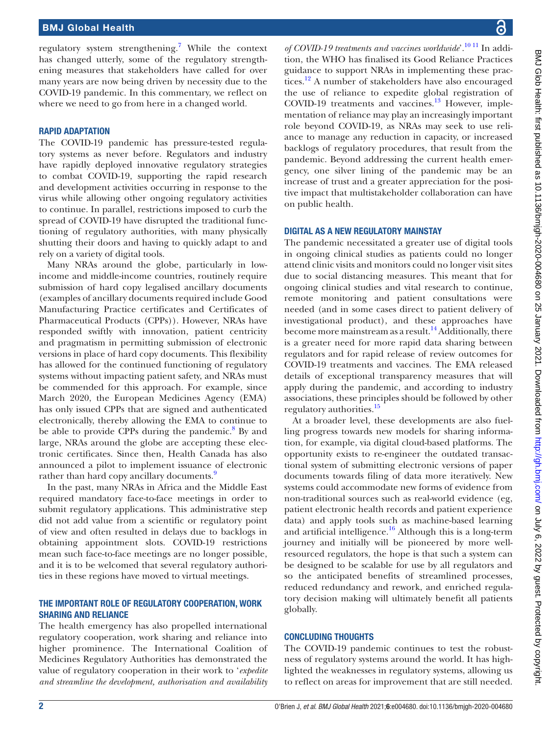regulatory system strengthening.<sup>7</sup> While the context has changed utterly, some of the regulatory strengthening measures that stakeholders have called for over many years are now being driven by necessity due to the COVID-19 pandemic. In this commentary, we reflect on where we need to go from here in a changed world.

#### RAPID ADAPTATION

The COVID-19 pandemic has pressure-tested regulatory systems as never before. Regulators and industry have rapidly deployed innovative regulatory strategies to combat COVID-19, supporting the rapid research and development activities occurring in response to the virus while allowing other ongoing regulatory activities to continue. In parallel, restrictions imposed to curb the spread of COVID-19 have disrupted the traditional functioning of regulatory authorities, with many physically shutting their doors and having to quickly adapt to and rely on a variety of digital tools.

Many NRAs around the globe, particularly in lowincome and middle-income countries, routinely require submission of hard copy legalised ancillary documents (examples of ancillary documents required include Good Manufacturing Practice certificates and Certificates of Pharmaceutical Products (CPPs)). However, NRAs have responded swiftly with innovation, patient centricity and pragmatism in permitting submission of electronic versions in place of hard copy documents. This flexibility has allowed for the continued functioning of regulatory systems without impacting patient safety, and NRAs must be commended for this approach. For example, since March 2020, the European Medicines Agency (EMA) has only issued CPPs that are signed and authenticated electronically, thereby allowing the EMA to continue to be able to provide CPPs during the pandemic.<sup>[8](#page-2-6)</sup> By and large, NRAs around the globe are accepting these electronic certificates. Since then, Health Canada has also announced a pilot to implement issuance of electronic rather than hard copy ancillary documents.<sup>[9](#page-2-7)</sup>

In the past, many NRAs in Africa and the Middle East required mandatory face-to-face meetings in order to submit regulatory applications. This administrative step did not add value from a scientific or regulatory point of view and often resulted in delays due to backlogs in obtaining appointment slots. COVID-19 restrictions mean such face-to-face meetings are no longer possible, and it is to be welcomed that several regulatory authorities in these regions have moved to virtual meetings.

#### THE IMPORTANT ROLE OF REGULATORY COOPERATION, WORK SHARING AND RELIANCE

The health emergency has also propelled international regulatory cooperation, work sharing and reliance into higher prominence. The International Coalition of Medicines Regulatory Authorities has demonstrated the value of regulatory cooperation in their work to '*expedite and streamline the development, authorisation and availability* 

*of COVID-19 treatments and vaccines worldwide*'[.10 11](#page-2-8) In addition, the WHO has finalised its Good Reliance Practices guidance to support NRAs in implementing these practices.<sup>12</sup> A number of stakeholders have also encouraged the use of reliance to expedite global registration of COVID-19 treatments and vaccines.<sup>13</sup> However, implementation of reliance may play an increasingly important role beyond COVID-19, as NRAs may seek to use reliance to manage any reduction in capacity, or increased backlogs of regulatory procedures, that result from the pandemic. Beyond addressing the current health emergency, one silver lining of the pandemic may be an increase of trust and a greater appreciation for the positive impact that multistakeholder collaboration can have on public health.

#### DIGITAL AS A NEW REGULATORY MAINSTAY

The pandemic necessitated a greater use of digital tools in ongoing clinical studies as patients could no longer attend clinic visits and monitors could no longer visit sites due to social distancing measures. This meant that for ongoing clinical studies and vital research to continue, remote monitoring and patient consultations were needed (and in some cases direct to patient delivery of investigational product), and these approaches have become more mainstream as a result.<sup>14</sup> Additionally, there is a greater need for more rapid data sharing between regulators and for rapid release of review outcomes for COVID-19 treatments and vaccines. The EMA released details of exceptional transparency measures that will apply during the pandemic, and according to industry associations, these principles should be followed by other regulatory authorities.<sup>[15](#page-2-12)</sup>

At a broader level, these developments are also fuelling progress towards new models for sharing information, for example, via digital cloud-based platforms. The opportunity exists to re-engineer the outdated transactional system of submitting electronic versions of paper documents towards filing of data more iteratively. New systems could accommodate new forms of evidence from non-traditional sources such as real-world evidence (eg, patient electronic health records and patient experience data) and apply tools such as machine-based learning and artificial intelligence. $16$  Although this is a long-term journey and initially will be pioneered by more wellresourced regulators, the hope is that such a system can be designed to be scalable for use by all regulators and so the anticipated benefits of streamlined processes, reduced redundancy and rework, and enriched regulatory decision making will ultimately benefit all patients globally.

### CONCLUDING THOUGHTS

The COVID-19 pandemic continues to test the robustness of regulatory systems around the world. It has highlighted the weaknesses in regulatory systems, allowing us to reflect on areas for improvement that are still needed.